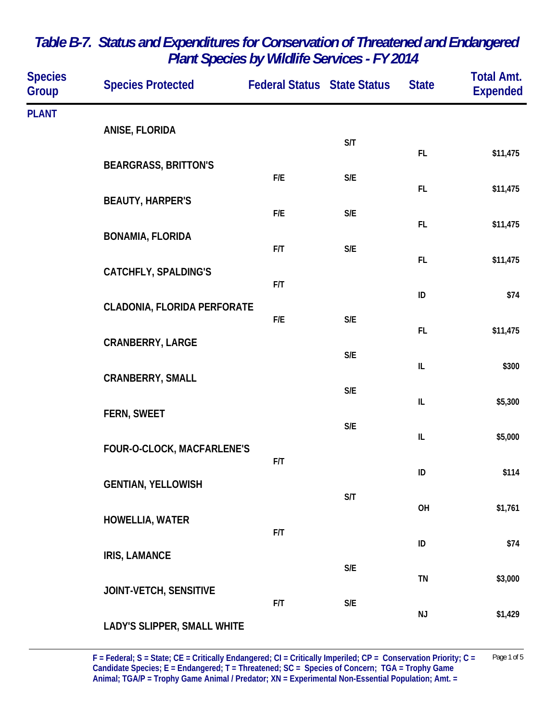| <b>Species</b><br><b>Group</b> | <b>Species Protected</b>    | <b>Federal Status State Status</b> |                         | <b>State</b>  | <b>Total Amt.</b><br><b>Expended</b> |
|--------------------------------|-----------------------------|------------------------------------|-------------------------|---------------|--------------------------------------|
| <b>PLANT</b>                   | ANISE, FLORIDA              |                                    |                         |               |                                      |
|                                | <b>BEARGRASS, BRITTON'S</b> |                                    | S/T                     | FL.           | \$11,475                             |
|                                | <b>BEAUTY, HARPER'S</b>     | F/E                                | $\mathsf{S}/\mathsf{E}$ | FL            | \$11,475                             |
|                                | <b>BONAMIA, FLORIDA</b>     | F/E                                | S/E                     | FL.           | \$11,475                             |
|                                | <b>CATCHFLY, SPALDING'S</b> | F/T                                | $\mathsf{S}/\mathsf{E}$ | FL            | \$11,475                             |
|                                |                             | F/T                                | ID                      | \$74          |                                      |
|                                | CLADONIA, FLORIDA PERFORATE | F/E                                | $\mathsf{S}/\mathsf{E}$ | FL            | \$11,475                             |
|                                | <b>CRANBERRY, LARGE</b>     |                                    | $\mathsf{S}/\mathsf{E}$ | $\sf IL$      | \$300                                |
|                                | <b>CRANBERRY, SMALL</b>     |                                    | $\mathsf{S}/\mathsf{E}$ | IL            | \$5,300                              |
|                                | FERN, SWEET                 |                                    | S/E                     | IL            | \$5,000                              |
|                                | FOUR-O-CLOCK, MACFARLENE'S  | F/T                                |                         | ID            | \$114                                |
|                                | <b>GENTIAN, YELLOWISH</b>   |                                    | S/T                     |               |                                      |
|                                | HOWELLIA, WATER             | F/T                                |                         | OH            | \$1,761                              |
|                                | <b>IRIS, LAMANCE</b>        |                                    | S/E                     | ID            | \$74                                 |
|                                | JOINT-VETCH, SENSITIVE      | F/T                                | $\mathsf{S}/\mathsf{E}$ | TN            | \$3,000                              |
|                                | LADY'S SLIPPER, SMALL WHITE |                                    |                         | $\mathsf{NJ}$ | \$1,429                              |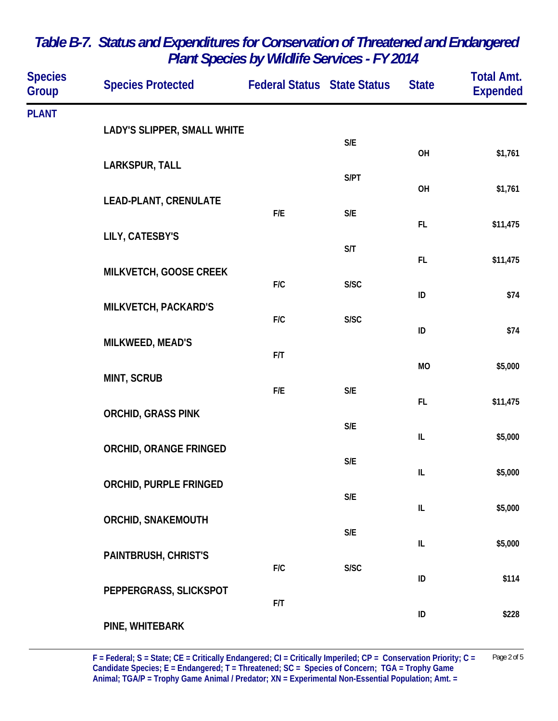| <b>Species</b><br>Group | <b>Species Protected</b>                                   | <b>Federal Status State Status</b> |                         | <b>State</b>                      | <b>Total Amt.</b><br><b>Expended</b> |
|-------------------------|------------------------------------------------------------|------------------------------------|-------------------------|-----------------------------------|--------------------------------------|
| <b>PLANT</b>            |                                                            |                                    |                         |                                   |                                      |
|                         | LADY'S SLIPPER, SMALL WHITE                                |                                    | $\mathsf{S}/\mathsf{E}$ | OH                                | \$1,761                              |
|                         | LARKSPUR, TALL                                             |                                    | S/PT                    |                                   |                                      |
|                         | <b>LEAD-PLANT, CRENULATE</b>                               |                                    |                         | OH                                | \$1,761                              |
|                         |                                                            | F/E                                | $\mathsf{S}/\mathsf{E}$ | FL.                               | \$11,475                             |
|                         | LILY, CATESBY'S                                            |                                    | S/T                     | FL                                |                                      |
|                         | MILKVETCH, GOOSE CREEK                                     | F/C                                | S/SC                    |                                   | \$11,475                             |
|                         | MILKVETCH, PACKARD'S                                       |                                    |                         | ID                                | \$74                                 |
|                         |                                                            | F/C                                | S/SC                    | ID                                | \$74                                 |
|                         | MILKWEED, MEAD'S                                           | F/T                                |                         | <b>MO</b>                         | \$5,000                              |
|                         | MINT, SCRUB                                                | F/E                                | $\mathsf{S}/\mathsf{E}$ |                                   |                                      |
|                         | <b>ORCHID, GRASS PINK</b><br><b>ORCHID, ORANGE FRINGED</b> |                                    |                         | FL                                | \$11,475                             |
|                         |                                                            |                                    | S/E                     | IL                                | \$5,000                              |
|                         |                                                            |                                    | S/E                     | IL                                | \$5,000                              |
|                         | ORCHID, PURPLE FRINGED                                     |                                    | S/E                     |                                   |                                      |
|                         | ORCHID, SNAKEMOUTH                                         |                                    |                         | $\ensuremath{\mathsf{IL}}\xspace$ | \$5,000                              |
|                         |                                                            |                                    | $\mathsf{S}/\mathsf{E}$ | IL                                | \$5,000                              |
|                         | PAINTBRUSH, CHRIST'S                                       | F/C                                | S/SC                    | ID                                | \$114                                |
|                         | PEPPERGRASS, SLICKSPOT                                     | F/T                                |                         |                                   |                                      |
|                         | PINE, WHITEBARK                                            |                                    |                         | ID                                | \$228                                |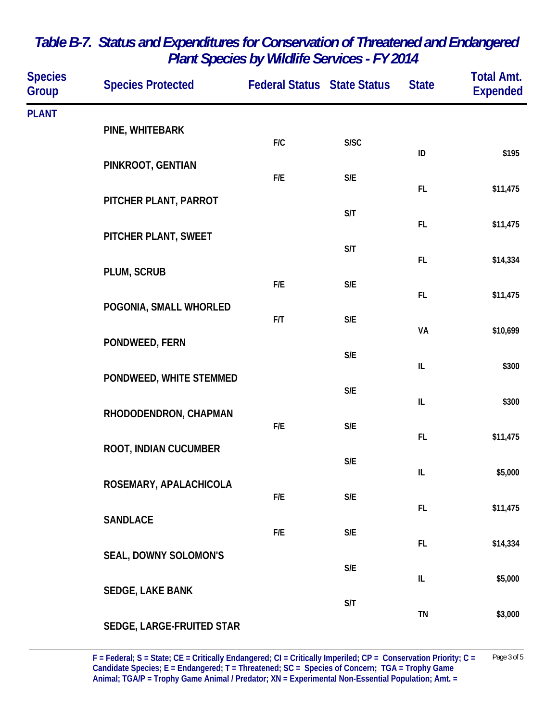| <b>Species</b><br>Group | <b>Species Protected</b>                  | <b>Federal Status State Status</b> |                         | <b>State</b> | <b>Total Amt.</b><br><b>Expended</b> |
|-------------------------|-------------------------------------------|------------------------------------|-------------------------|--------------|--------------------------------------|
| <b>PLANT</b>            |                                           |                                    |                         |              |                                      |
|                         | PINE, WHITEBARK                           | F/C                                | S/SC                    |              |                                      |
|                         | PINKROOT, GENTIAN                         |                                    |                         | ID           | \$195                                |
|                         |                                           | F/E                                | $\mathsf{S}/\mathsf{E}$ |              |                                      |
|                         | PITCHER PLANT, PARROT                     |                                    |                         | FL           | \$11,475                             |
|                         |                                           |                                    | S/T                     | FL           | \$11,475                             |
|                         | PITCHER PLANT, SWEET                      |                                    | S/T                     |              |                                      |
|                         | PLUM, SCRUB                               |                                    |                         | FL           | \$14,334                             |
|                         |                                           | F/E                                | $\mathsf{S}/\mathsf{E}$ | FL.          | \$11,475                             |
|                         | POGONIA, SMALL WHORLED                    | F/T                                | $\mathsf{S}/\mathsf{E}$ |              |                                      |
|                         | PONDWEED, FERN                            |                                    |                         | VA           | \$10,699                             |
|                         |                                           |                                    | $\mathsf{S}/\mathsf{E}$ |              |                                      |
|                         | PONDWEED, WHITE STEMMED                   |                                    |                         | $\sf IL$     | \$300                                |
|                         |                                           | $\mathsf{S}/\mathsf{E}$            | L                       | \$300        |                                      |
|                         | RHODODENDRON, CHAPMAN                     | F/E                                | $\mathsf{S}/\mathsf{E}$ |              |                                      |
|                         | ROOT, INDIAN CUCUMBER                     |                                    |                         | FL           | \$11,475                             |
|                         |                                           |                                    | $\mathsf{S}/\mathsf{E}$ | IL           | \$5,000                              |
|                         | ROSEMARY, APALACHICOLA<br><b>SANDLACE</b> | F/E                                | $\mathsf{S}/\mathsf{E}$ |              |                                      |
|                         |                                           |                                    |                         | FL.          | \$11,475                             |
|                         |                                           | F/E                                | $\mathsf{S}/\mathsf{E}$ | FL           | \$14,334                             |
|                         | <b>SEAL, DOWNY SOLOMON'S</b>              |                                    |                         |              |                                      |
|                         |                                           |                                    | $\mathsf{S}/\mathsf{E}$ | IL           | \$5,000                              |
|                         | SEDGE, LAKE BANK                          |                                    | S/T                     |              |                                      |
|                         | SEDGE, LARGE-FRUITED STAR                 |                                    |                         | TN           | \$3,000                              |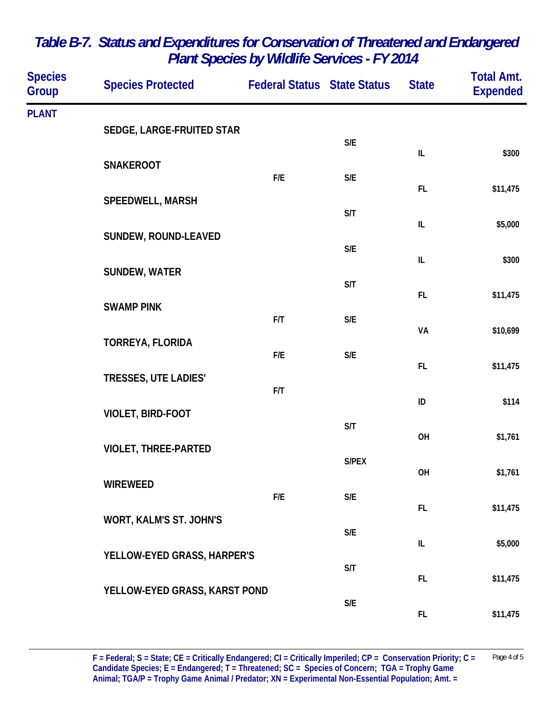| <b>Species</b><br>Group | <b>Species Protected</b>                                                | <b>Federal Status State Status</b> |                         | <b>State</b>                      | <b>Total Amt.</b><br><b>Expended</b> |
|-------------------------|-------------------------------------------------------------------------|------------------------------------|-------------------------|-----------------------------------|--------------------------------------|
| <b>PLANT</b>            |                                                                         |                                    |                         |                                   |                                      |
|                         | SEDGE, LARGE-FRUITED STAR                                               |                                    | $\mathsf{S}/\mathsf{E}$ |                                   |                                      |
|                         | <b>SNAKEROOT</b>                                                        | F/E                                | $\mathsf{S}/\mathsf{E}$ | $\ensuremath{\mathsf{IL}}\xspace$ | \$300                                |
|                         | SPEEDWELL, MARSH<br><b>SUNDEW, ROUND-LEAVED</b><br><b>SUNDEW, WATER</b> |                                    |                         | FL                                | \$11,475                             |
|                         |                                                                         |                                    | S/T                     | $\ensuremath{\mathsf{IL}}\xspace$ | \$5,000                              |
|                         |                                                                         |                                    | $\mathsf{S}/\mathsf{E}$ |                                   |                                      |
|                         |                                                                         |                                    |                         | IL                                | \$300                                |
|                         | <b>SWAMP PINK</b>                                                       |                                    | S/T                     | FL                                | \$11,475                             |
|                         |                                                                         | F/T                                | $\mathsf{S}/\mathsf{E}$ | VA                                | \$10,699                             |
|                         | TORREYA, FLORIDA                                                        | F/E                                | $\mathsf{S}/\mathsf{E}$ |                                   |                                      |
|                         | <b>TRESSES, UTE LADIES'</b>                                             |                                    |                         | FL                                | \$11,475                             |
|                         |                                                                         | F/T                                |                         | ID                                | \$114                                |
|                         | VIOLET, BIRD-FOOT                                                       |                                    | S/T                     | OH                                | \$1,761                              |
|                         | <b>VIOLET, THREE-PARTED</b>                                             |                                    | S/PEX                   |                                   |                                      |
|                         | <b>WIREWEED</b>                                                         |                                    |                         | OH                                | \$1,761                              |
|                         |                                                                         | F/E                                | S/E                     | FL                                | \$11,475                             |
|                         | WORT, KALM'S ST. JOHN'S                                                 |                                    | $\mathsf{S}/\mathsf{E}$ |                                   |                                      |
|                         | YELLOW-EYED GRASS, HARPER'S                                             |                                    |                         | $\ensuremath{\mathsf{IL}}\xspace$ | \$5,000                              |
|                         | YELLOW-EYED GRASS, KARST POND                                           |                                    | S/T                     | FL.                               | \$11,475                             |
|                         |                                                                         |                                    | S/E                     | FL.                               | \$11,475                             |
|                         |                                                                         |                                    |                         |                                   |                                      |